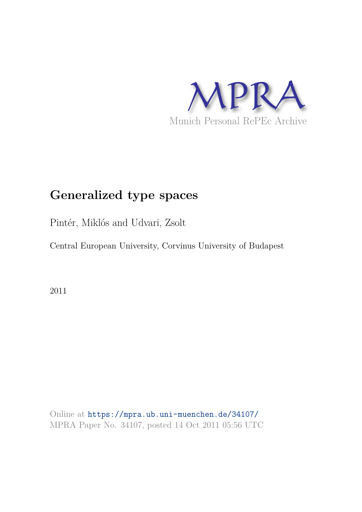

# **Generalized type spaces**

Pintér, Miklós and Udvari, Zsolt

Central European University, Corvinus University of Budapest

2011

Online at https://mpra.ub.uni-muenchen.de/34107/ MPRA Paper No. 34107, posted 14 Oct 2011 05:56 UTC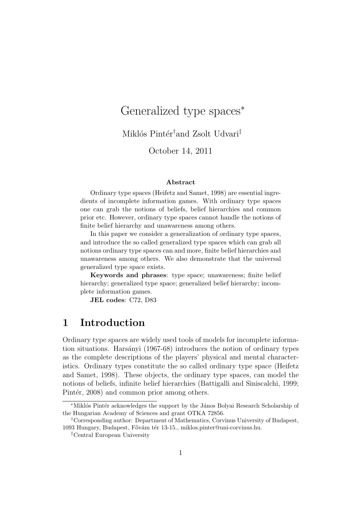## Generalized type spaces<sup>∗</sup>

Miklós Pintér<sup>†</sup>and Zsolt Udvari<sup>‡</sup>

October 14, 2011

#### Abstract

Ordinary type spaces (Heifetz and Samet, 1998) are essential ingredients of incomplete information games. With ordinary type spaces one can grab the notions of beliefs, belief hierarchies and common prior etc. However, ordinary type spaces cannot handle the notions of finite belief hierarchy and unawareness among others.

In this paper we consider a generalization of ordinary type spaces, and introduce the so called generalized type spaces which can grab all notions ordinary type spaces can and more, finite belief hierarchies and unawareness among others. We also demonstrate that the universal generalized type space exists.

Keywords and phrases: type space; unawareness; finite belief hierarchy; generalized type space; generalized belief hierarchy; incomplete information games.

JEL codes: C72, D83

#### 1 Introduction

Ordinary type spaces are widely used tools of models for incomplete information situations. Harsányi (1967-68) introduces the notion of ordinary types as the complete descriptions of the players' physical and mental characteristics. Ordinary types constitute the so called ordinary type space (Heifetz and Samet, 1998). These objects, the ordinary type spaces, can model the notions of beliefs, infinite belief hierarchies (Battigalli and Siniscalchi, 1999; Pintér, 2008) and common prior among others.

<sup>∗</sup>Mikl´os Pint´er acknowledges the support by the J´anos Bolyai Research Scholarship of the Hungarian Academy of Sciences and grant OTKA 72856.

<sup>†</sup>Corresponding author: Department of Mathematics, Corvinus University of Budapest, 1093 Hungary, Budapest, Fővám tér 13-15., miklos.pinter@uni-corvinus.hu.

<sup>‡</sup>Central European University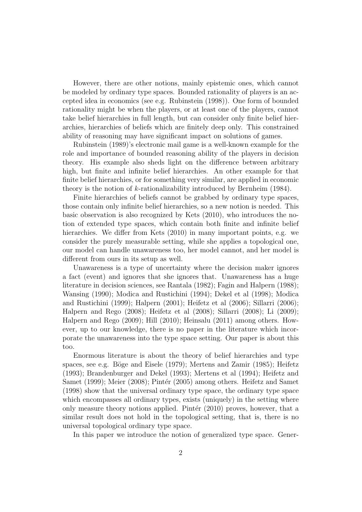However, there are other notions, mainly epistemic ones, which cannot be modeled by ordinary type spaces. Bounded rationality of players is an accepted idea in economics (see e.g. Rubinstein (1998)). One form of bounded rationality might be when the players, or at least one of the players, cannot take belief hierarchies in full length, but can consider only finite belief hierarchies, hierarchies of beliefs which are finitely deep only. This constrained ability of reasoning may have significant impact on solutions of games.

Rubinstein (1989)'s electronic mail game is a well-known example for the role and importance of bounded reasoning ability of the players in decision theory. His example also sheds light on the difference between arbitrary high, but finite and infinite belief hierarchies. An other example for that finite belief hierarchies, or for something very similar, are applied in economic theory is the notion of k-rationalizability introduced by Bernheim (1984).

Finite hierarchies of beliefs cannot be grabbed by ordinary type spaces, those contain only infinite belief hierarchies, so a new notion is needed. This basic observation is also recognized by Kets (2010), who introduces the notion of extended type spaces, which contain both finite and infinite belief hierarchies. We differ from Kets (2010) in many important points, e.g. we consider the purely measurable setting, while she applies a topological one, our model can handle unawareness too, her model cannot, and her model is different from ours in its setup as well.

Unawareness is a type of uncertainty where the decision maker ignores a fact (event) and ignores that she ignores that. Unawareness has a huge literature in decision sciences, see Rantala (1982); Fagin and Halpern (1988); Wansing (1990); Modica and Rustichini (1994); Dekel et al (1998); Modica and Rustichini (1999); Halpern (2001); Heifetz et al (2006); Sillarri (2006); Halpern and Rego (2008); Heifetz et al (2008); Sillarri (2008); Li (2009); Halpern and Rego (2009); Hill (2010); Heinsalu (2011) among others. However, up to our knowledge, there is no paper in the literature which incorporate the unawareness into the type space setting. Our paper is about this too.

Enormous literature is about the theory of belief hierarchies and type spaces, see e.g. Böge and Eisele  $(1979)$ ; Mertens and Zamir  $(1985)$ ; Heifetz (1993); Brandenburger and Dekel (1993); Mertens et al (1994); Heifetz and Samet (1999); Meier (2008); Pintér (2005) among others. Heifetz and Samet (1998) show that the universal ordinary type space, the ordinary type space which encompasses all ordinary types, exists (uniquely) in the setting where only measure theory notions applied. Pintér  $(2010)$  proves, however, that a similar result does not hold in the topological setting, that is, there is no universal topological ordinary type space.

In this paper we introduce the notion of generalized type space. Gener-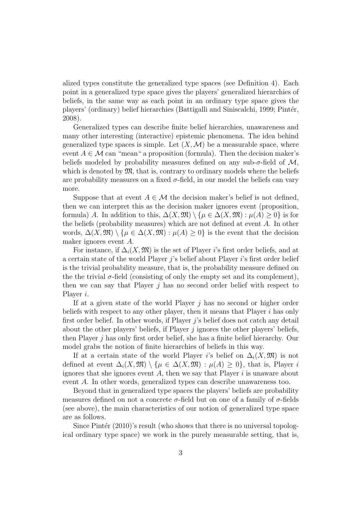alized types constitute the generalized type spaces (see Definition 4). Each point in a generalized type space gives the players' generalized hierarchies of beliefs, in the same way as each point in an ordinary type space gives the players' (ordinary) belief hierarchies (Battigalli and Siniscalchi, 1999; Pint´er, 2008).

Generalized types can describe finite belief hierarchies, unawareness and many other interesting (interactive) epistemic phenomena. The idea behind generalized type spaces is simple. Let  $(X, \mathcal{M})$  be a measurable space, where event  $A \in \mathcal{M}$  can "mean" a proposition (formula). Then the decision maker's beliefs modeled by probability measures defined on any sub- $\sigma$ -field of  $\mathcal{M}$ , which is denoted by  $\mathfrak{M}$ , that is, contrary to ordinary models where the beliefs are probability measures on a fixed  $\sigma$ -field, in our model the beliefs can vary more.

Suppose that at event  $A \in \mathcal{M}$  the decision maker's belief is not defined, then we can interpret this as the decision maker ignores event (proposition, formula) A. In addition to this,  $\Delta(X, \mathfrak{M}) \setminus {\mu \in \Delta(X, \mathfrak{M}) : \mu(A) \geq 0}$  is for the beliefs (probability measures) which are not defined at event A. In other words,  $\Delta(X,\mathfrak{M}) \setminus {\mu \in \Delta(X,\mathfrak{M}) : \mu(A) \geq 0}$  is the event that the decision maker ignores event A.

For instance, if  $\Delta_i(X, \mathfrak{M})$  is the set of Player i's first order beliefs, and at a certain state of the world Player  $i$ 's belief about Player  $i$ 's first order belief is the trivial probability measure, that is, the probability measure defined on the the trivial  $\sigma$ -field (consisting of only the empty set and its complement), then we can say that Player  $j$  has no second order belief with respect to Player i.

If at a given state of the world Player  $j$  has no second or higher order beliefs with respect to any other player, then it means that Player  $i$  has only first order belief. In other words, if Player  $j$ 's belief does not catch any detail about the other players' beliefs, if Player  $j$  ignores the other players' beliefs, then Player j has only first order belief, she has a finite belief hierarchy. Our model grabs the notion of finite hierarchies of beliefs in this way.

If at a certain state of the world Player i's belief on  $\Delta_i(X, \mathfrak{M})$  is not defined at event  $\Delta_i(X,\mathfrak{M}) \setminus {\mu \in \Delta(X,\mathfrak{M}) : \mu(A) > 0}$ , that is, Player i ignores that she ignores event  $A$ , then we say that Player  $i$  is unaware about event A. In other words, generalized types can describe unawareness too.

Beyond that in generalized type spaces the players' beliefs are probability measures defined on not a concrete  $\sigma$ -field but on one of a family of  $\sigma$ -fields (see above), the main characteristics of our notion of generalized type space are as follows.

Since Pintér  $(2010)$ 's result (who shows that there is no universal topological ordinary type space) we work in the purely measurable setting, that is,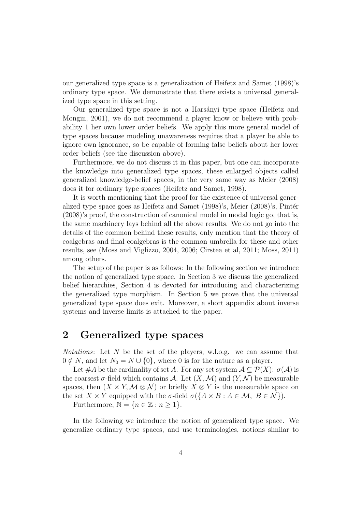our generalized type space is a generalization of Heifetz and Samet (1998)'s ordinary type space. We demonstrate that there exists a universal generalized type space in this setting.

Our generalized type space is not a Harsányi type space (Heifetz and Mongin, 2001), we do not recommend a player know or believe with probability 1 her own lower order beliefs. We apply this more general model of type spaces because modeling unawareness requires that a player be able to ignore own ignorance, so be capable of forming false beliefs about her lower order beliefs (see the discussion above).

Furthermore, we do not discuss it in this paper, but one can incorporate the knowledge into generalized type spaces, these enlarged objects called generalized knowledge-belief spaces, in the very same way as Meier (2008) does it for ordinary type spaces (Heifetz and Samet, 1998).

It is worth mentioning that the proof for the existence of universal generalized type space goes as Heifetz and Samet  $(1998)$ 's, Meier  $(2008)$ 's, Pintér (2008)'s proof, the construction of canonical model in modal logic go, that is, the same machinery lays behind all the above results. We do not go into the details of the common behind these results, only mention that the theory of coalgebras and final coalgebras is the common umbrella for these and other results, see (Moss and Viglizzo, 2004, 2006; Cirstea et al, 2011; Moss, 2011) among others.

The setup of the paper is as follows: In the following section we introduce the notion of generalized type space. In Section 3 we discuss the generalized belief hierarchies, Section 4 is devoted for introducing and characterizing the generalized type morphism. In Section 5 we prove that the universal generalized type space does exit. Moreover, a short appendix about inverse systems and inverse limits is attached to the paper.

#### 2 Generalized type spaces

*Notations*: Let N be the set of the players, w.l.o.g. we can assume that  $0 \notin N$ , and let  $N_0 = N \cup \{0\}$ , where 0 is for the nature as a player.

Let #A be the cardinality of set A. For any set system  $A \subseteq \mathcal{P}(X)$ :  $\sigma(A)$  is the coarsest  $\sigma$ -field which contains A. Let  $(X, \mathcal{M})$  and  $(Y, \mathcal{N})$  be measurable spaces, then  $(X \times Y, \mathcal{M} \otimes \mathcal{N})$  or briefly  $X \otimes Y$  is the measurable space on the set  $X \times Y$  equipped with the  $\sigma$ -field  $\sigma({A \times B : A \in \mathcal{M}, B \in \mathcal{N}})$ .

Furthermore,  $\mathbb{N} = \{n \in \mathbb{Z} : n \geq 1\}.$ 

In the following we introduce the notion of generalized type space. We generalize ordinary type spaces, and use terminologies, notions similar to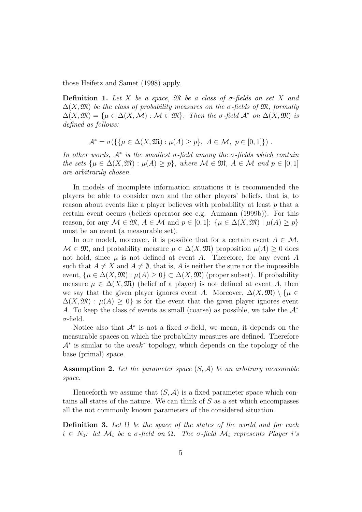those Heifetz and Samet (1998) apply.

Definition 1. *Let* X *be a space,* M *be a class of* σ*-fields on set* X *and*  $\Delta(X, \mathfrak{M})$  be the class of probability measures on the  $\sigma$ -fields of  $\mathfrak{M}$ , formally  $\Delta(X, \mathfrak{M}) = \{ \mu \in \Delta(X, \mathcal{M}) : \mathcal{M} \in \mathfrak{M} \}.$  Then the  $\sigma$ -field  $\mathcal{A}^*$  on  $\Delta(X, \mathfrak{M})$  is *defined as follows:*

$$
\mathcal{A}^* = \sigma(\{\{\mu \in \Delta(X, \mathfrak{M}) : \mu(A) \ge p\}, A \in \mathcal{M}, p \in [0, 1]\})
$$

*In other words,*  $A^*$  *is the smallest*  $\sigma$ -field among the  $\sigma$ -fields which contain *the sets*  $\{\mu \in \Delta(X, \mathfrak{M}) : \mu(A) \geq p\}$ *, where*  $\mathcal{M} \in \mathfrak{M}$ *,*  $A \in \mathcal{M}$  *and*  $p \in [0, 1]$ *are arbitrarily chosen.*

In models of incomplete information situations it is recommended the players be able to consider own and the other players' beliefs, that is, to reason about events like a player believes with probability at least p that a certain event occurs (beliefs operator see e.g. Aumann (1999b)). For this reason, for any  $M \in \mathfrak{M}$ ,  $A \in \mathcal{M}$  and  $p \in [0,1]$ :  $\{\mu \in \Delta(X, \mathfrak{M}) \mid \mu(A) \geq p\}$ must be an event (a measurable set).

In our model, moreover, it is possible that for a certain event  $A \in \mathcal{M}$ ,  $\mathcal{M} \in \mathfrak{M}$ , and probability measure  $\mu \in \Delta(X, \mathfrak{M})$  proposition  $\mu(A) \geq 0$  does not hold, since  $\mu$  is not defined at event A. Therefore, for any event A such that  $A \neq X$  and  $A \neq \emptyset$ , that is, A is neither the sure nor the impossible event,  $\{\mu \in \Delta(X, \mathfrak{M}) : \mu(A) \geq 0\} \subset \Delta(X, \mathfrak{M})$  (proper subset). If probability measure  $\mu \in \Delta(X, \mathfrak{M})$  (belief of a player) is not defined at event A, then we say that the given player ignores event A. Moreover,  $\Delta(X,\mathfrak{M})\setminus\{\mu\in$  $\Delta(X,\mathfrak{M}) : \mu(A) \geq 0$  is for the event that the given player ignores event A. To keep the class of events as small (coarse) as possible, we take the  $A^*$  $\sigma$ -field.

Notice also that  $\mathcal{A}^*$  is not a fixed  $\sigma$ -field, we mean, it depends on the measurable spaces on which the probability measures are defined. Therefore  $\mathcal{A}^*$  is similar to the weak<sup>\*</sup> topology, which depends on the topology of the base (primal) space.

Assumption 2. *Let the parameter space* (S, A) *be an arbitrary measurable space.*

Henceforth we assume that  $(S, \mathcal{A})$  is a fixed parameter space which contains all states of the nature. We can think of  $S$  as a set which encompasses all the not commonly known parameters of the considered situation.

Definition 3. *Let* Ω *be the space of the states of the world and for each*  $i \in N_0$ : let  $\mathcal{M}_i$  be a  $\sigma$ -field on  $\Omega$ . The  $\sigma$ -field  $\mathcal{M}_i$  represents Player i's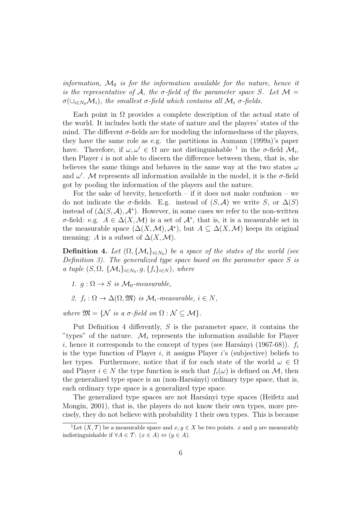*information,*  $\mathcal{M}_0$  *is for the information available for the nature, hence it is the representative of* A, the  $\sigma$ -field of the parameter space S. Let M =  $\sigma(\cup_{i\in N_0}M_i)$ , the smallest  $\sigma$ -field which contains all  $\mathcal{M}_i$   $\sigma$ -fields.

Each point in  $\Omega$  provides a complete description of the actual state of the world. It includes both the state of nature and the players' states of the mind. The different  $\sigma$ -fields are for modeling the informedness of the players, they have the same role as e.g. the partitions in Aumann (1999a)'s paper have. Therefore, if  $\omega, \omega' \in \Omega$  are not distinguishable <sup>1</sup> in the  $\sigma$ -field  $\mathcal{M}_i$ , then Player  $i$  is not able to discern the difference between them, that is, she believes the same things and behaves in the same way at the two states  $\omega$ and  $\omega'$ . M represents all information available in the model, it is the  $\sigma$ -field got by pooling the information of the players and the nature.

For the sake of brevity, henceforth – if it does not make confusion – we do not indicate the  $\sigma$ -fields. E.g. instead of  $(S, \mathcal{A})$  we write S, or  $\Delta(S)$ instead of  $(\Delta(S, \mathcal{A}), \mathcal{A}^*)$ . However, in some cases we refer to the non-written σ-field: e.g. A ∈ ∆(X,M) is a set of A<sup>∗</sup> , that is, it is a measurable set in the measurable space  $(\Delta(X, \mathcal{M}), \mathcal{A}^*)$ , but  $A \subseteq \Delta(X, \mathcal{M})$  keeps its original meaning: A is a subset of  $\Delta(X, \mathcal{M})$ .

**Definition 4.** Let  $(\Omega, {\{\mathcal{M}_i\}}_{i \in N_0})$  be a space of the states of the world (see *Definition 3). The generalized type space based on the parameter space* S *is a tuple*  $(S, \Omega, \{M_i\}_{i \in N_0}, g, \{f_i\}_{i \in N})$ *, where* 

- *1.*  $q: \Omega \to S$  *is*  $\mathcal{M}_0$ -measurable,
- 2.  $f_i : \Omega \to \Delta(\Omega, \mathfrak{M})$  *is*  $\mathcal{M}_i$ -measurable,  $i \in N$ ,

*where*  $\mathfrak{M} = \{ \mathcal{N} \text{ is a } \sigma \text{-field on } \Omega : \mathcal{N} \subset \mathcal{M} \}.$ 

Put Definition 4 differently,  $S$  is the parameter space, it contains the "types" of the nature.  $\mathcal{M}_i$  represents the information available for Player i, hence it corresponds to the concept of types (see Harsányi (1967-68)).  $f_i$ is the type function of Player  $i$ , it assigns Player  $i$ 's (subjective) beliefs to her types. Furthermore, notice that if for each state of the world  $\omega \in \Omega$ and Player  $i \in N$  the type function is such that  $f_i(\omega)$  is defined on M, then the generalized type space is an (non-Harsányi) ordinary type space, that is, each ordinary type space is a generalized type space.

The generalized type spaces are not Harsányi type spaces (Heifetz and Mongin, 2001), that is, the players do not know their own types, more precisely, they do not believe with probability 1 their own types. This is because

<sup>&</sup>lt;sup>1</sup>Let  $(X, \mathcal{T})$  be a measurable space and  $x, y \in X$  be two points. x and y are measurably indistinguishable if  $\forall A \in \mathcal{T}$ :  $(x \in A) \Leftrightarrow (y \in A)$ .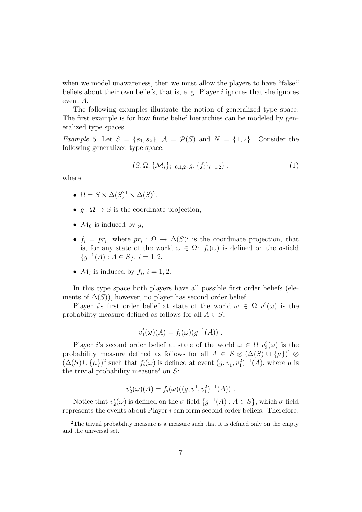when we model unawareness, then we must allow the players to have "false" beliefs about their own beliefs, that is, e.g. Player  $i$  ignores that she ignores event A.

The following examples illustrate the notion of generalized type space. The first example is for how finite belief hierarchies can be modeled by generalized type spaces.

*Example* 5*.* Let  $S = \{s_1, s_2\}$ ,  $\mathcal{A} = \mathcal{P}(S)$  and  $N = \{1, 2\}$ . Consider the following generalized type space:

$$
(S, \Omega, \{ \mathcal{M}_i \}_{i=0,1,2}, g, \{ f_i \}_{i=1,2} ) , \qquad (1)
$$

where

- $\Omega = S \times \Delta(S)^1 \times \Delta(S)^2$ ,
- $q : \Omega \to S$  is the coordinate projection,
- $\mathcal{M}_0$  is induced by g,
- $f_i = pr_i$ , where  $pr_i : \Omega \to \Delta(S)^i$  is the coordinate projection, that is, for any state of the world  $\omega \in \Omega$ :  $f_i(\omega)$  is defined on the  $\sigma$ -field  ${g^{-1}(A) : A \in S}, i = 1, 2,$
- $\mathcal{M}_i$  is induced by  $f_i$ ,  $i = 1, 2$ .

In this type space both players have all possible first order beliefs (elements of  $\Delta(S)$ , however, no player has second order belief.

Player *i*'s first order belief at state of the world  $\omega \in \Omega$   $v_1^i(\omega)$  is the probability measure defined as follows for all  $A \in S$ :

$$
v_1^i(\omega)(A) = f_i(\omega)(g^{-1}(A)) .
$$

Player *i*'s second order belief at state of the world  $\omega \in \Omega$   $v_2^i(\omega)$  is the probability measure defined as follows for all  $A \in S \otimes (\Delta(S) \cup {\{\mu\}})^{1} \otimes$  $(\Delta(S) \cup {\mu})^2$  such that  $f_i(\omega)$  is defined at event  $(g, v_1^1, v_1^2)^{-1}(A)$ , where  $\mu$  is the trivial probability measure<sup>2</sup> on  $S$ :

$$
v_2^i(\omega)(A) = f_i(\omega)((g, v_1^1, v_1^2)^{-1}(A)) .
$$

Notice that  $v_2^i(\omega)$  is defined on the  $\sigma$ -field  $\{g^{-1}(A) : A \in S\}$ , which  $\sigma$ -field represents the events about Player i can form second order beliefs. Therefore,

 $2$ The trivial probability measure is a measure such that it is defined only on the empty and the universal set.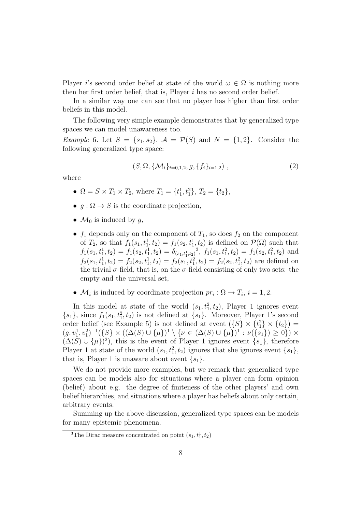Player i's second order belief at state of the world  $\omega \in \Omega$  is nothing more then her first order belief, that is, Player i has no second order belief.

In a similar way one can see that no player has higher than first order beliefs in this model.

The following very simple example demonstrates that by generalized type spaces we can model unawareness too.

*Example* 6. Let  $S = \{s_1, s_2\}$ ,  $\mathcal{A} = \mathcal{P}(S)$  and  $N = \{1, 2\}$ . Consider the following generalized type space:

$$
(S, \Omega, \{ \mathcal{M}_i \}_{i=0,1,2}, g, \{ f_i \}_{i=1,2} ) , \qquad (2)
$$

where

- $\Omega = S \times T_1 \times T_2$ , where  $T_1 = \{t_1^1, t_1^2\}$ ,  $T_2 = \{t_2\}$ ,
- $q : \Omega \to S$  is the coordinate projection,
- $\mathcal{M}_0$  is induced by q,
- $f_1$  depends only on the component of  $T_1$ , so does  $f_2$  on the component of  $T_2$ , so that  $f_1(s_1, t_1^1, t_2) = f_1(s_2, t_1^1, t_2)$  is defined on  $\mathcal{P}(\Omega)$  such that  $f_1(s_1, t_1^1, t_2) = f_1(s_2, t_1^1, t_2) = \delta_{(s_1, t_1^1, t_2)}^3$ ,  $f_1(s_1, t_1^2, t_2) = f_1(s_2, t_1^2, t_2)$  and  $f_2(s_1, t_1^1, t_2) = f_2(s_2, t_1^1, t_2) = f_2(s_1, t_1^2, t_2) = f_2(s_2, t_1^2, t_2)$  are defined on the trivial  $\sigma$ -field, that is, on the  $\sigma$ -field consisting of only two sets: the empty and the universal set,
- $M_i$  is induced by coordinate projection  $pr_i : \Omega \to T_i$ ,  $i = 1, 2$ .

In this model at state of the world  $(s_1, t_1^2, t_2)$ , Player 1 ignores event  $\{s_1\}$ , since  $f_1(s_1, t_1^2, t_2)$  is not defined at  $\{s_1\}$ . Moreover, Player 1's second order belief (see Example 5) is not defined at event  $({S} \times {t_1^2} \times {t_2})$  =  $(g, v_1^1, v_1^2)^{-1}(\{S\} \times ((\Delta(S) \cup \{\mu\})^1 \setminus \{\nu \in (\Delta(S) \cup \{\mu\})^1 : \nu(\{s_1\}) \geq 0\}) \times$  $(\Delta(S) \cup {\mu})^2$ , this is the event of Player 1 ignores event  $\{s_1\}$ , therefore Player 1 at state of the world  $(s_1, t_1^2, t_2)$  ignores that she ignores event  $\{s_1\}$ , that is, Player 1 is unaware about event  $\{s_1\}$ .

We do not provide more examples, but we remark that generalized type spaces can be models also for situations where a player can form opinion (belief) about e.g. the degree of finiteness of the other players' and own belief hierarchies, and situations where a player has beliefs about only certain, arbitrary events.

Summing up the above discussion, generalized type spaces can be models for many epistemic phenomena.

<sup>&</sup>lt;sup>3</sup>The Dirac measure concentrated on point  $(s_1, t_1^1, t_2)$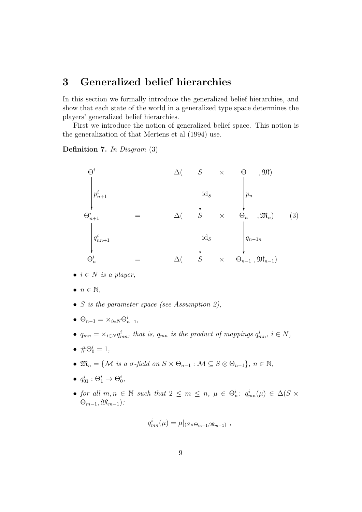#### 3 Generalized belief hierarchies

In this section we formally introduce the generalized belief hierarchies, and show that each state of the world in a generalized type space determines the players' generalized belief hierarchies.

First we introduce the notion of generalized belief space. This notion is the generalization of that Mertens et al (1994) use.

Definition 7. *In Diagram* (3)

$$
\Theta^{i} \qquad \Delta \left( \begin{array}{ccc} S & \times & \Theta & , \mathfrak{M} \end{array} \right)
$$
\n
$$
\begin{vmatrix} p_{n+1}^{i} & & \\ q_{n+1}^{i} & & \\ q_{nn+1}^{i} & & \\ \Theta^{i} & & \\ \Theta^{i} & & \\ \Theta^{i} & & \\ \end{vmatrix} = \Delta \left( \begin{array}{ccc} S & \times & \Theta & , \mathfrak{M} \end{array} \right)
$$
\n
$$
\begin{vmatrix} q_{n+1}^{i} & & \\ q_{n+1}^{i} & & \\ \Theta^{i} & & \\ \end{vmatrix} = \Delta \left( \begin{array}{ccc} S & \times & \Theta_{n-1} & \\ S & \times & \Theta_{n-1} & \\ \end{array} \right)
$$
\n
$$
\left( 3 \right)
$$

- $i \in N$  *is a player,*
- $\bullet$   $n \in \mathbb{N}$ ,
- S *is the parameter space (see Assumption 2),*
- $\Theta_{n-1} = \times_{i \in N} \Theta_{n-1}^i,$
- $q_{mn} = \times_{i \in N} q_{mn}^i$ , that is,  $q_{mn}$  is the product of mappings  $q_{mn}^i$ ,  $i \in N$ ,
- $\bullet \# \Theta_0^i = 1,$
- $\mathfrak{M}_n = \{ \mathcal{M} \text{ is a } \sigma\text{-field on } S \times \Theta_{n-1} : \mathcal{M} \subseteq S \otimes \Theta_{n-1} \}, n \in \mathbb{N},$
- $q_{01}^i : \Theta_1^i \rightarrow \Theta_0^i$ ,
- *for all*  $m, n \in \mathbb{N}$  *such that*  $2 \leq m \leq n$ ,  $\mu \in \Theta_n^i$ :  $q_{mn}^i(\mu) \in \Delta(S \times$ Θm−1,Mm−1)*:*

$$
q_{mn}^i(\mu) = \mu|_{(S \times \Theta_{m-1}, \mathfrak{M}_{m-1})},
$$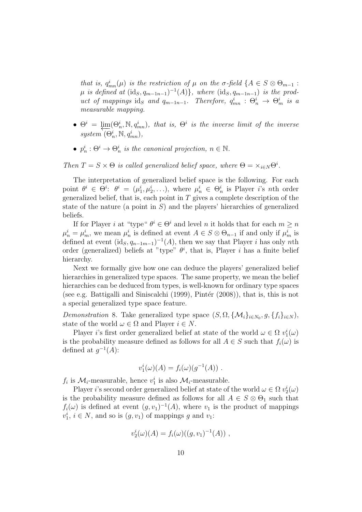*that is,*  $q_{mn}^i(\mu)$  *is the restriction of*  $\mu$  *on the*  $\sigma$ -field  $\{A \in S \otimes \Theta_{m-1}$  :  $\mu$  *is defined at*  $(\text{id}_S, q_{m-1n-1})^{-1}(A)$ , where  $(\text{id}_S, q_{m-1n-1})$  *is the product of mappings* id<sub>S</sub> *and*  $q_{m-1n-1}$ . Therefore,  $q_{mn}^i$  :  $\Theta_n^i \to \Theta_m^i$  is a *measurable mapping.*

- $\bullet$   $\Theta^i = \lim_{n \to \infty} (\Theta_n^i, \mathbb{N}, q_{mn}^i)$ , that is,  $\Theta^i$  is the inverse limit of the inverse  $system^{\cdot}(\Theta_n^i, \mathbb{N}, q_{mn}^i),$
- $p_n^i : \Theta^i \to \Theta_n^i$  is the canonical projection,  $n \in \mathbb{N}$ .

*Then*  $T = S \times \Theta$  *is called generalized belief space, where*  $\Theta = \times_{i \in N} \Theta^i$ .

The interpretation of generalized belief space is the following. For each point  $\theta^i \in \Theta^i$ :  $\theta^i = (\mu_1^i, \mu_2^i, \ldots)$ , where  $\mu_n^i \in \Theta_n^i$  is Player *i*'s *n*th order generalized belief, that is, each point in  $T$  gives a complete description of the state of the nature (a point in  $S$ ) and the players' hierarchies of generalized beliefs.

If for Player *i* at "type"  $\theta^i \in \Theta^i$  and level *n* it holds that for each  $m \geq n$  $\mu_n^i = \mu_m^i$ , we mean  $\mu_n^i$  is defined at event  $A \in S \otimes \Theta_{n-1}$  if and only if  $\mu_m^i$  is defined at event  $(\mathrm{id}_S, q_{n-1m-1})^{-1}(A)$ , then we say that Player *i* has only *nth* order (generalized) beliefs at "type"  $\theta^i$ , that is, Player *i* has a finite belief hierarchy.

Next we formally give how one can deduce the players' generalized belief hierarchies in generalized type spaces. The same property, we mean the belief hierarchies can be deduced from types, is well-known for ordinary type spaces (see e.g. Battigalli and Siniscalchi  $(1999)$ , Pintér  $(2008)$ ), that is, this is not a special generalized type space feature.

*Demonstration* 8. Take generalized type space  $(S, \Omega, \{M_i\}_{i \in N_0}, g, \{f_i\}_{i \in N}),$ state of the world  $\omega \in \Omega$  and Player  $i \in N$ .

Player *i*'s first order generalized belief at state of the world  $\omega \in \Omega$   $v_1^i(\omega)$ is the probability measure defined as follows for all  $A \in S$  such that  $f_i(\omega)$  is defined at  $g^{-1}(A)$ :

$$
v_1^i(\omega)(A) = f_i(\omega)(g^{-1}(A)) .
$$

 $f_i$  is  $\mathcal{M}_i$ -measurable, hence  $v_1^i$  is also  $\mathcal{M}_i$ -measurable.

Player *i*'s second order generalized belief at state of the world  $\omega \in \Omega$   $v_2^i(\omega)$ is the probability measure defined as follows for all  $A \in S \otimes \Theta_1$  such that  $f_i(\omega)$  is defined at event  $(g, v_1)^{-1}(A)$ , where  $v_1$  is the product of mappings  $v_1^i$ ,  $i \in N$ , and so is  $(g, v_1)$  of mappings g and  $v_1$ :

$$
v_2^i(\omega)(A) = f_i(\omega)((g, v_1)^{-1}(A)),
$$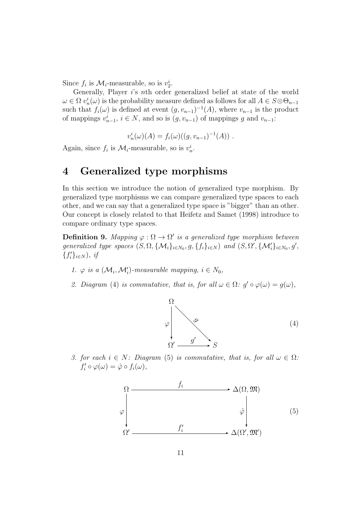Since  $f_i$  is  $\mathcal{M}_i$ -measurable, so is  $v_2^i$ .

Generally, Player i's nth order generalized belief at state of the world  $\omega \in \Omega$   $v_n^i(\omega)$  is the probability measure defined as follows for all  $A \in S \otimes \Theta_{n-1}$ such that  $f_i(\omega)$  is defined at event  $(g, v_{n-1})^{-1}(A)$ , where  $v_{n-1}$  is the product of mappings  $v_{n-1}^i$ ,  $i \in N$ , and so is  $(g, v_{n-1})$  of mappings g and  $v_{n-1}$ :

$$
v_n^i(\omega)(A) = f_i(\omega)((g, v_{n-1})^{-1}(A)) .
$$

Again, since  $f_i$  is  $\mathcal{M}_i$ -measurable, so is  $v_n^i$ .

### 4 Generalized type morphisms

In this section we introduce the notion of generalized type morphism. By generalized type morphisms we can compare generalized type spaces to each other, and we can say that a generalized type space is "bigger" than an other. Our concept is closely related to that Heifetz and Samet (1998) introduce to compare ordinary type spaces.

**Definition 9.** Mapping  $\varphi : \Omega \to \Omega'$  is a generalized type morphism between *generalized type spaces*  $(S, \Omega, \{M_i\}_{i \in N_0}, g, \{f_i\}_{i \in N})$  *and*  $(S, \Omega', \{M'_i\}_{i \in N_0}, g',$  ${f'_i}_{i \in N}$ *), if* 

- 1.  $\varphi$  *is a*  $(\mathcal{M}_i, \mathcal{M}'_i)$ -measurable mapping,  $i \in N_0$ ,
- *2. Diagram* (4) *is commutative, that is, for all*  $\omega \in \Omega$ *:*  $g' \circ \varphi(\omega) = g(\omega)$ *,*



*3. for each*  $i \in N$ *: Diagram* (5) *is commutative, that is, for all*  $\omega \in \Omega$ *:*  $f'_i \circ \varphi(\omega) = \hat{\varphi} \circ f_i(\omega),$ 

$$
\Omega \longrightarrow \Delta(\Omega, \mathfrak{M})
$$
\n
$$
\varphi \downarrow \qquad \varphi \downarrow \qquad \varphi \downarrow \qquad (5)
$$
\n
$$
\Omega' \longrightarrow f'_i \longrightarrow \Delta(\Omega', \mathfrak{M}')
$$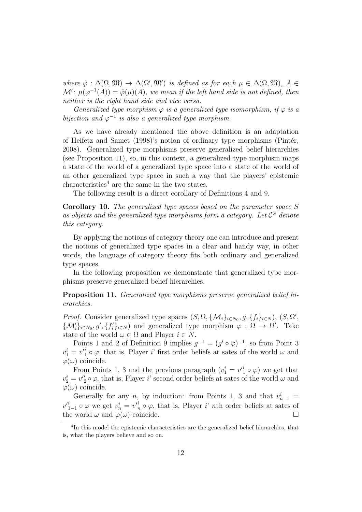$where \hat{\varphi}: \Delta(\Omega, \mathfrak{M}) \rightarrow \Delta(\Omega', \mathfrak{M}')$  *is defined as for each*  $\mu \in \Delta(\Omega, \mathfrak{M})$ ,  $A \in$  $\mathcal{M}'$ :  $\mu(\varphi^{-1}(A)) = \hat{\varphi}(\mu)(A)$ , we mean if the left hand side is not defined, then *neither is the right hand side and vice versa.*

*Generalized type morphism*  $\varphi$  *is a generalized type isomorphism, if*  $\varphi$  *is a bijection and*  $\varphi^{-1}$  *is also a generalized type morphism.* 

As we have already mentioned the above definition is an adaptation of Heifetz and Samet (1998)'s notion of ordinary type morphisms (Pintér, 2008). Generalized type morphisms preserve generalized belief hierarchies (see Proposition 11), so, in this context, a generalized type morphism maps a state of the world of a generalized type space into a state of the world of an other generalized type space in such a way that the players' epistemic characteristics<sup>4</sup> are the same in the two states.

The following result is a direct corollary of Definitions 4 and 9.

Corollary 10. *The generalized type spaces based on the parameter space* S *as objects and the generalized type morphisms form a category. Let* C <sup>S</sup> *denote this category.*

By applying the notions of category theory one can introduce and present the notions of generalized type spaces in a clear and handy way, in other words, the language of category theory fits both ordinary and generalized type spaces.

In the following proposition we demonstrate that generalized type morphisms preserve generalized belief hierarchies.

Proposition 11. *Generalized type morphisms preserve generalized belief hierarchies.*

*Proof.* Consider generalized type spaces  $(S, \Omega, \{M_i\}_{i \in N_0}, g, \{f_i\}_{i \in N}), (S, \Omega',$  $\{\mathcal{M}'_i\}_{i\in N_0}, g', \{f'_i\}_{i\in N}$  and generalized type morphism  $\varphi : \Omega \to \Omega'$ . Take state of the world  $\omega \in \Omega$  and Player  $i \in N$ .

Points 1 and 2 of Definition 9 implies  $g^{-1} = (g' \circ \varphi)^{-1}$ , so from Point 3  $v_1^i = v_1^i \circ \varphi$ , that is, Player i' first order beliefs at sates of the world  $\omega$  and  $\varphi(\omega)$  coincide.

From Points 1, 3 and the previous paragraph  $(v_1^i = v_1'^i \circ \varphi)$  we get that  $v_2^i = v_2^i \circ \varphi$ , that is, Player *i*' second order beliefs at sates of the world  $\omega$  and  $\varphi(\omega)$  coincide.

Generally for any n, by induction: from Points 1, 3 and that  $v_{n-1}^i =$  $v_{1-1}^i \circ \varphi$  we get  $v_n^i = v_n^i \circ \varphi$ , that is, Player i' nth order beliefs at sates of the world  $\omega$  and  $\varphi(\omega)$  coincide.

<sup>&</sup>lt;sup>4</sup>In this model the epistemic characteristics are the generalized belief hierarchies, that is, what the players believe and so on.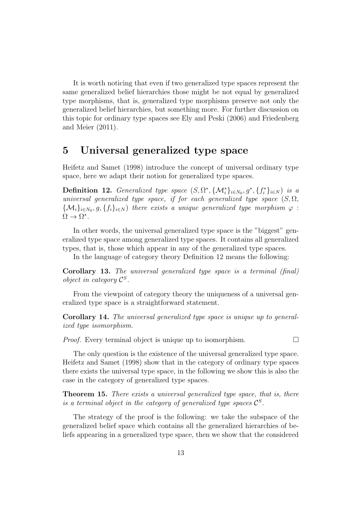It is worth noticing that even if two generalized type spaces represent the same generalized belief hierarchies those might be not equal by generalized type morphisms, that is, generalized type morphisms preserve not only the generalized belief hierarchies, but something more. For further discussion on this topic for ordinary type spaces see Ely and Peski (2006) and Friedenberg and Meier (2011).

#### 5 Universal generalized type space

Heifetz and Samet (1998) introduce the concept of universal ordinary type space, here we adapt their notion for generalized type spaces.

Definition 12. *Generalized type space*  $(S, \Omega^*, \{\mathcal{M}_i^*\}_{i \in N_0}, g^*, \{f_i^*\}_{i \in N})$  *is a universal generalized type space, if for each generalized type space*  $(S, \Omega)$ ,  $\{\mathcal{M}_i\}_{i\in N_0}, g, \{f_i\}_{i\in N}$  *there exists a unique generalized type morphism*  $\varphi$  :  $\Omega \to \Omega^*$ .

In other words, the universal generalized type space is the "biggest" generalized type space among generalized type spaces. It contains all generalized types, that is, those which appear in any of the generalized type spaces.

In the language of category theory Definition 12 means the following:

Corollary 13. *The universal generalized type space is a terminal (final) object in category* C S *.*

From the viewpoint of category theory the uniqueness of a universal generalized type space is a straightforward statement.

Corollary 14. *The universal generalized type space is unique up to generalized type isomorphism.*

*Proof.* Every terminal object is unique up to isomorphism.

The only question is the existence of the universal generalized type space. Heifetz and Samet (1998) show that in the category of ordinary type spaces there exists the universal type space, in the following we show this is also the case in the category of generalized type spaces.

Theorem 15. *There exists a universal generalized type space, that is, there is a terminal object in the category of generalized type spaces*  $\mathcal{C}^S$ *.* 

The strategy of the proof is the following: we take the subspace of the generalized belief space which contains all the generalized hierarchies of beliefs appearing in a generalized type space, then we show that the considered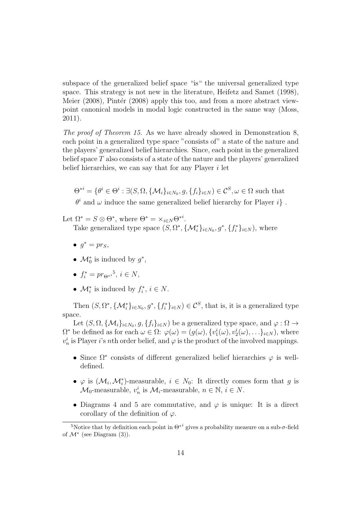subspace of the generalized belief space "is" the universal generalized type space. This strategy is not new in the literature, Heifetz and Samet (1998), Meier  $(2008)$ , Pintér  $(2008)$  apply this too, and from a more abstract viewpoint canonical models in modal logic constructed in the same way (Moss, 2011).

*The proof of Theorem 15.* As we have already showed in Demonstration 8, each point in a generalized type space "consists of" a state of the nature and the players' generalized belief hierarchies. Since, each point in the generalized belief space  $T$  also consists of a state of the nature and the players' generalized belief hierarchies, we can say that for any Player i let

 $\Theta^{*i} = \{ \theta^i \in \Theta^i : \exists (S, \Omega, \{ \mathcal{M}_i \}_{i \in N_0}, g, \{ f_i \}_{i \in N} ) \in \mathcal{C}^S, \omega \in \Omega \text{ such that }$  $\theta^i$  and  $\omega$  induce the same generalized belief hierarchy for Player i}.

Let  $\Omega^* = S \otimes \Theta^*$ , where  $\Theta^* = \times_{i \in N} \Theta^{*i}$ .

Take generalized type space  $(S, \Omega^*, {\{\mathcal{M}_i^*\}}_{i \in N_0}, g^*, {\{f_i^*\}}_{i \in N}),$  where

- $g^* = pr_S$ ,
- $\mathcal{M}_0^*$  is induced by  $g^*$ ,
- $f_i^* = pr_{\Theta^{*i}}^{5}, i \in N$ ,
- $\mathcal{M}_i^*$  is induced by  $f_i^*$  $i^*, i \in N$ .

Then  $(S, \Omega^*, \{\mathcal{M}_i^*\}_{i \in N_0}, g^*, \{f_i^*\}_{i \in N}) \in \mathcal{C}^S$ , that is, it is a generalized type space.

Let  $(S, \Omega, \{M_i\}_{i \in N_0}, g, \{f_i\}_{i \in N})$  be a generalized type space, and  $\varphi : \Omega \to$  $\Omega^*$  be defined as for each  $\omega \in \Omega$ :  $\varphi(\omega) = (g(\omega), \{v_1^i(\omega), v_2^i(\omega), \ldots\}_{i \in N})$ , where  $v_n^i$  is Player *i*'s *n*th order belief, and  $\varphi$  is the product of the involved mappings.

- Since  $\Omega^*$  consists of different generalized belief hierarchies  $\varphi$  is welldefined.
- $\varphi$  is  $(\mathcal{M}_i, \mathcal{M}_i^*)$ -measurable,  $i \in N_0$ : It directly comes form that g is  $M_0$ -measurable,  $v_n^i$  is  $M_i$ -measurable,  $n \in \mathbb{N}$ ,  $i \in N$ .
- Diagrams 4 and 5 are commutative, and  $\varphi$  is unique: It is a direct corollary of the definition of  $\varphi$ .

<sup>&</sup>lt;sup>5</sup>Notice that by definition each point in  $\Theta^{*i}$  gives a probability measure on a sub- $\sigma$ -field of  $\mathcal{M}^*$  (see Diagram (3)).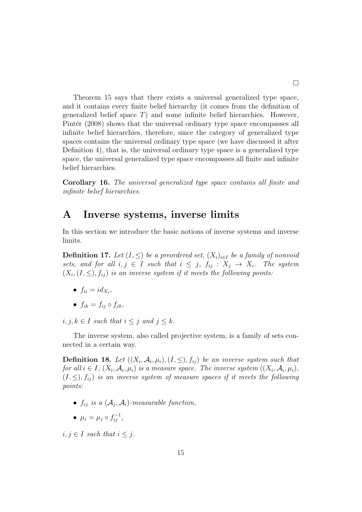Theorem 15 says that there exists a universal generalized type space, and it contains every finite belief hierarchy (it comes from the definition of generalized belief space  $T$ ) and some infinite belief hierarchies. However, Pintér (2008) shows that the universal ordinary type space encompasses all infinite belief hierarchies, therefore, since the category of generalized type spaces contains the universal ordinary type space (we have discussed it after Definition 4), that is, the universal ordinary type space is a generalized type space, the universal generalized type space encompasses all finite and infinite belief hierarchies.

Corollary 16. *The universal generalized type space contains all finite and infinite belief hierarchies.*

#### A Inverse systems, inverse limits

In this section we introduce the basic notions of inverse systems and inverse limits.

**Definition 17.** Let  $(I, \leq)$  be a preordered set,  $(X_i)_{i \in I}$  be a family of nonvoid *sets, and for all*  $i, j \in I$  *such that*  $i \leq j$ ,  $f_{ij} : X_j \rightarrow X_i$ . The system  $(X_i, (I, \leq), f_{ij})$  is an inverse system if it meets the following points:

- $f_{ii} = id_{X_i}$
- $f_{ik} = f_{ij} \circ f_{jk}$ ,

 $i, j, k \in I$  *such that*  $i \leq j$  *and*  $j \leq k$ *.* 

The inverse system, also called projective system, is a family of sets connected in a certain way.

**Definition 18.** Let  $((X_i, \mathcal{A}_i, \mu_i), (I, \leq), f_{ij})$  be an inverse system such that  $for\ all\ i\in I,\ (X_i, \mathcal{A}_i, \mu_i)\ is\ a\ measure\ space.\ \ The\ inverse\ system\ ((X_i, \mathcal{A}_i, \mu_i),$  $(I, \leq), f_{ij}$  *is an inverse system of measure spaces if it meets the following points:*

- $\bullet$   $f_{ij}$  *is a*  $(\mathcal{A}_j, \mathcal{A}_i)$ -measurable function,
- $\mu_i = \mu_j \circ f_{ij}^{-1},$

 $i, j \in I$  *such that*  $i \leq j$ .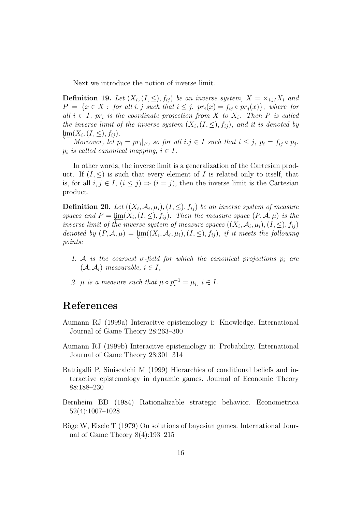Next we introduce the notion of inverse limit.

**Definition 19.** Let  $(X_i, (I, \leq), f_{ij})$  be an inverse system,  $X = \times_{i \in I} X_i$  and  $P = \{x \in X : \text{ for all } i, j \text{ such that } i \leq j, \text{ pr}_i(x) = f_{ij} \circ pr_j(x) \}, \text{ where for }$  $all \, i \in I$ ,  $pr_i$  is the coordinate projection from X to  $X_i$ . Then P is called *the inverse limit of the inverse system*  $(X_i, (I, \leq), f_{ij})$ *, and it is denoted by*  $\varprojlim_{M}(X_i,(I,\leq),f_{ij}).$ 

*Moreover, let*  $p_i = pr_i|_P$ *, so for all*  $i.j \in I$  *such that*  $i \leq j$ *,*  $p_i = f_{ij} \circ p_j$ *.*  $p_i$  *is called canonical mapping,*  $i \in I$ .

In other words, the inverse limit is a generalization of the Cartesian product. If  $(I, \leq)$  is such that every element of I is related only to itself, that is, for all  $i, j \in I$ ,  $(i \leq j) \Rightarrow (i = j)$ , then the inverse limit is the Cartesian product.

**Definition 20.** Let  $((X_i, \mathcal{A}_i, \mu_i), (I, \leq), f_{ij})$  be an inverse system of measure *spaces and*  $P = \lim_{t \to \infty} (X_i, (I, \leq), f_{ij})$ *. Then the measure space*  $(P, \mathcal{A}, \mu)$  *is the inverse limit of the inverse system of measure spaces*  $((X_i, \mathcal{A}_i, \mu_i), (I, \leq), f_{ij})$ denoted by  $(P, \mathcal{A}, \mu) = \varprojlim((X_i, \mathcal{A}_i, \mu_i), (I, \leq), f_{ij}),$  *if it meets the following points:*

- 1. A *is the coarsest*  $\sigma$ -field for which the canonical projections  $p_i$  are  $(A, \mathcal{A}_i)$ *-measurable,*  $i \in I$ *,*
- 2.  $\mu$  is a measure such that  $\mu \circ p_i^{-1} = \mu_i, i \in I$ .

### References

- Aumann RJ (1999a) Interacitve epistemology i: Knowledge. International Journal of Game Theory 28:263–300
- Aumann RJ (1999b) Interacitve epistemology ii: Probability. International Journal of Game Theory 28:301–314
- Battigalli P, Siniscalchi M (1999) Hierarchies of conditional beliefs and interactive epistemology in dynamic games. Journal of Economic Theory 88:188–230
- Bernheim BD (1984) Rationalizable strategic behavior. Econometrica 52(4):1007–1028
- Böge W, Eisele T (1979) On solutions of bayesian games. International Journal of Game Theory 8(4):193–215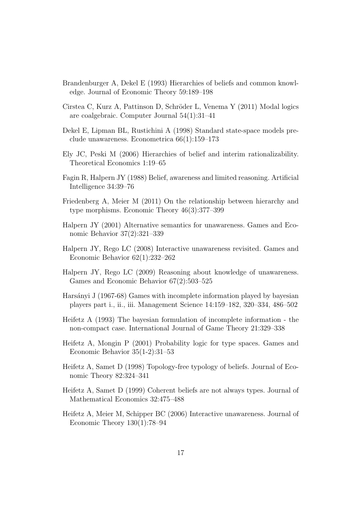- Brandenburger A, Dekel E (1993) Hierarchies of beliefs and common knowledge. Journal of Economic Theory 59:189–198
- Cirstea C, Kurz A, Pattinson D, Schröder L, Venema Y (2011) Modal logics are coalgebraic. Computer Journal 54(1):31–41
- Dekel E, Lipman BL, Rustichini A (1998) Standard state-space models preclude unawareness. Econometrica 66(1):159–173
- Ely JC, Peski M (2006) Hierarchies of belief and interim rationalizability. Theoretical Economics 1:19–65
- Fagin R, Halpern JY (1988) Belief, awareness and limited reasoning. Artificial Intelligence 34:39–76
- Friedenberg A, Meier M (2011) On the relationship between hierarchy and type morphisms. Economic Theory 46(3):377–399
- Halpern JY (2001) Alternative semantics for unawareness. Games and Economic Behavior 37(2):321–339
- Halpern JY, Rego LC (2008) Interactive unawareness revisited. Games and Economic Behavior 62(1):232–262
- Halpern JY, Rego LC (2009) Reasoning about knowledge of unawareness. Games and Economic Behavior 67(2):503–525
- Harsányi J (1967-68) Games with incomplete information played by bayesian players part i., ii., iii. Management Science 14:159–182, 320–334, 486–502
- Heifetz A (1993) The bayesian formulation of incomplete information the non-compact case. International Journal of Game Theory 21:329–338
- Heifetz A, Mongin P (2001) Probability logic for type spaces. Games and Economic Behavior 35(1-2):31–53
- Heifetz A, Samet D (1998) Topology-free typology of beliefs. Journal of Economic Theory 82:324–341
- Heifetz A, Samet D (1999) Coherent beliefs are not always types. Journal of Mathematical Economics 32:475–488
- Heifetz A, Meier M, Schipper BC (2006) Interactive unawareness. Journal of Economic Theory 130(1):78–94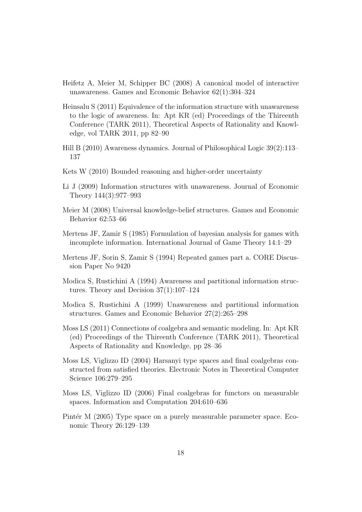- Heifetz A, Meier M, Schipper BC (2008) A canonical model of interactive unawareness. Games and Economic Behavior 62(1):304–324
- Heinsalu S (2011) Equivalence of the information structure with unawareness to the logic of awareness. In: Apt KR (ed) Proceedings of the Thireenth Conference (TARK 2011), Theoretical Aspects of Rationality and Knowledge, vol TARK 2011, pp 82–90
- Hill B (2010) Awareness dynamics. Journal of Philosophical Logic 39(2):113– 137
- Kets W (2010) Bounded reasoning and higher-order uncertainty
- Li J (2009) Information structures with unawareness. Journal of Economic Theory 144(3):977–993
- Meier M (2008) Universal knowledge-belief structures. Games and Economic Behavior 62:53–66
- Mertens JF, Zamir S (1985) Formulation of bayesian analysis for games with incomplete information. International Journal of Game Theory 14:1–29
- Mertens JF, Sorin S, Zamir S (1994) Repeated games part a. CORE Discussion Paper No 9420
- Modica S, Rustichini A (1994) Awareness and partitional information structures. Theory and Decision 37(1):107–124
- Modica S, Rustichini A (1999) Unawareness and partitional information structures. Games and Economic Behavior 27(2):265–298
- Moss LS (2011) Connections of coalgebra and semantic modeling. In: Apt KR (ed) Proceedings of the Thireenth Conference (TARK 2011), Theoretical Aspects of Rationality and Knowledge, pp 28–36
- Moss LS, Viglizzo ID (2004) Harsanyi type spaces and final coalgebras constructed from satisfied theories. Electronic Notes in Theoretical Computer Science 106:279–295
- Moss LS, Viglizzo ID (2006) Final coalgebras for functors on measurable spaces. Information and Computation 204:610–636
- Pintér M (2005) Type space on a purely measurable parameter space. Economic Theory 26:129–139